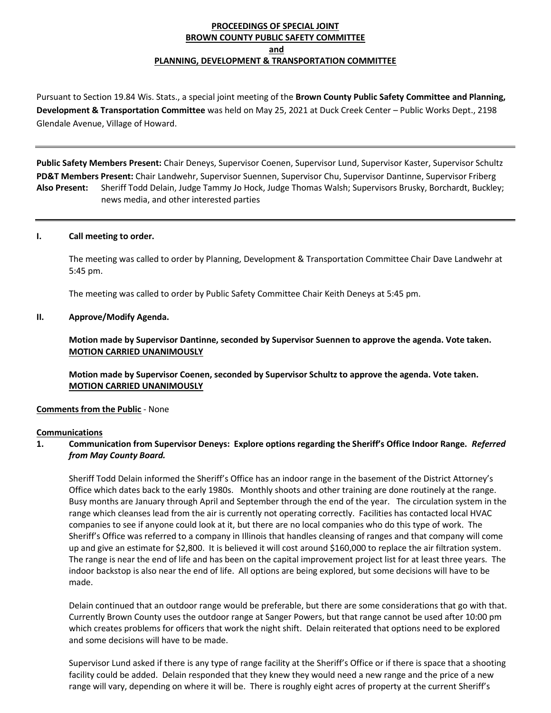# **PROCEEDINGS OF SPECIAL JOINT BROWN COUNTY PUBLIC SAFETY COMMITTEE and PLANNING, DEVELOPMENT & TRANSPORTATION COMMITTEE**

Pursuant to Section 19.84 Wis. Stats., a special joint meeting of the **Brown County Public Safety Committee and Planning, Development & Transportation Committee** was held on May 25, 2021 at Duck Creek Center – Public Works Dept., 2198 Glendale Avenue, Village of Howard.

**Public Safety Members Present:** Chair Deneys, Supervisor Coenen, Supervisor Lund, Supervisor Kaster, Supervisor Schultz **PD&T Members Present:** Chair Landwehr, Supervisor Suennen, Supervisor Chu, Supervisor Dantinne, Supervisor Friberg **Also Present:** Sheriff Todd Delain, Judge Tammy Jo Hock, Judge Thomas Walsh; Supervisors Brusky, Borchardt, Buckley; news media, and other interested parties

### **I. Call meeting to order.**

The meeting was called to order by Planning, Development & Transportation Committee Chair Dave Landwehr at 5:45 pm.

The meeting was called to order by Public Safety Committee Chair Keith Deneys at 5:45 pm.

### **II. Approve/Modify Agenda.**

**Motion made by Supervisor Dantinne, seconded by Supervisor Suennen to approve the agenda. Vote taken. MOTION CARRIED UNANIMOUSLY**

**Motion made by Supervisor Coenen, seconded by Supervisor Schultz to approve the agenda. Vote taken. MOTION CARRIED UNANIMOUSLY**

#### **Comments from the Public** - None

#### **Communications**

# **1. Communication from Supervisor Deneys: Explore options regarding the Sheriff's Office Indoor Range.** *Referred from May County Board.*

Sheriff Todd Delain informed the Sheriff's Office has an indoor range in the basement of the District Attorney's Office which dates back to the early 1980s. Monthly shoots and other training are done routinely at the range. Busy months are January through April and September through the end of the year. The circulation system in the range which cleanses lead from the air is currently not operating correctly. Facilities has contacted local HVAC companies to see if anyone could look at it, but there are no local companies who do this type of work. The Sheriff's Office was referred to a company in Illinois that handles cleansing of ranges and that company will come up and give an estimate for \$2,800. It is believed it will cost around \$160,000 to replace the air filtration system. The range is near the end of life and has been on the capital improvement project list for at least three years. The indoor backstop is also near the end of life. All options are being explored, but some decisions will have to be made.

Delain continued that an outdoor range would be preferable, but there are some considerations that go with that. Currently Brown County uses the outdoor range at Sanger Powers, but that range cannot be used after 10:00 pm which creates problems for officers that work the night shift. Delain reiterated that options need to be explored and some decisions will have to be made.

Supervisor Lund asked if there is any type of range facility at the Sheriff's Office or if there is space that a shooting facility could be added. Delain responded that they knew they would need a new range and the price of a new range will vary, depending on where it will be. There is roughly eight acres of property at the current Sheriff's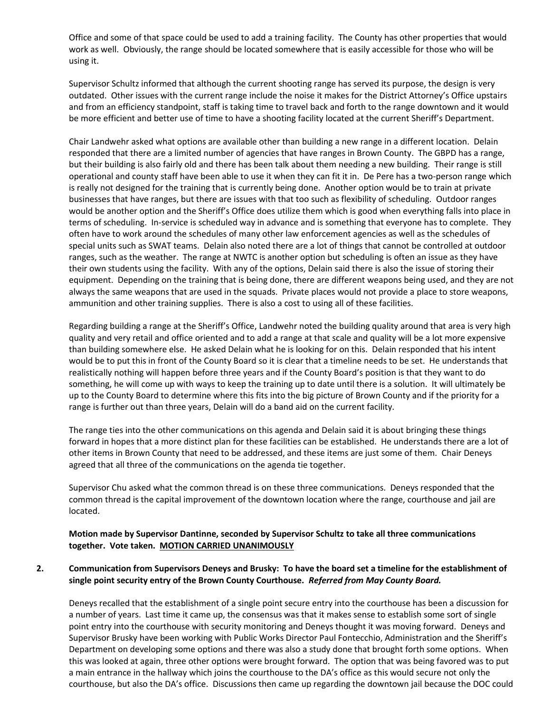Office and some of that space could be used to add a training facility. The County has other properties that would work as well. Obviously, the range should be located somewhere that is easily accessible for those who will be using it.

Supervisor Schultz informed that although the current shooting range has served its purpose, the design is very outdated. Other issues with the current range include the noise it makes for the District Attorney's Office upstairs and from an efficiency standpoint, staff is taking time to travel back and forth to the range downtown and it would be more efficient and better use of time to have a shooting facility located at the current Sheriff's Department.

Chair Landwehr asked what options are available other than building a new range in a different location. Delain responded that there are a limited number of agencies that have ranges in Brown County. The GBPD has a range, but their building is also fairly old and there has been talk about them needing a new building. Their range is still operational and county staff have been able to use it when they can fit it in. De Pere has a two-person range which is really not designed for the training that is currently being done. Another option would be to train at private businesses that have ranges, but there are issues with that too such as flexibility of scheduling. Outdoor ranges would be another option and the Sheriff's Office does utilize them which is good when everything falls into place in terms of scheduling. In-service is scheduled way in advance and is something that everyone has to complete. They often have to work around the schedules of many other law enforcement agencies as well as the schedules of special units such as SWAT teams. Delain also noted there are a lot of things that cannot be controlled at outdoor ranges, such as the weather. The range at NWTC is another option but scheduling is often an issue as they have their own students using the facility. With any of the options, Delain said there is also the issue of storing their equipment. Depending on the training that is being done, there are different weapons being used, and they are not always the same weapons that are used in the squads. Private places would not provide a place to store weapons, ammunition and other training supplies. There is also a cost to using all of these facilities.

Regarding building a range at the Sheriff's Office, Landwehr noted the building quality around that area is very high quality and very retail and office oriented and to add a range at that scale and quality will be a lot more expensive than building somewhere else. He asked Delain what he is looking for on this. Delain responded that his intent would be to put this in front of the County Board so it is clear that a timeline needs to be set. He understands that realistically nothing will happen before three years and if the County Board's position is that they want to do something, he will come up with ways to keep the training up to date until there is a solution. It will ultimately be up to the County Board to determine where this fits into the big picture of Brown County and if the priority for a range is further out than three years, Delain will do a band aid on the current facility.

The range ties into the other communications on this agenda and Delain said it is about bringing these things forward in hopes that a more distinct plan for these facilities can be established. He understands there are a lot of other items in Brown County that need to be addressed, and these items are just some of them. Chair Deneys agreed that all three of the communications on the agenda tie together.

Supervisor Chu asked what the common thread is on these three communications. Deneys responded that the common thread is the capital improvement of the downtown location where the range, courthouse and jail are located.

**Motion made by Supervisor Dantinne, seconded by Supervisor Schultz to take all three communications together. Vote taken. MOTION CARRIED UNANIMOUSLY**

# **2. Communication from Supervisors Deneys and Brusky: To have the board set a timeline for the establishment of single point security entry of the Brown County Courthouse.** *Referred from May County Board.*

Deneys recalled that the establishment of a single point secure entry into the courthouse has been a discussion for a number of years. Last time it came up, the consensus was that it makes sense to establish some sort of single point entry into the courthouse with security monitoring and Deneys thought it was moving forward. Deneys and Supervisor Brusky have been working with Public Works Director Paul Fontecchio, Administration and the Sheriff's Department on developing some options and there was also a study done that brought forth some options. When this was looked at again, three other options were brought forward. The option that was being favored was to put a main entrance in the hallway which joins the courthouse to the DA's office as this would secure not only the courthouse, but also the DA's office. Discussions then came up regarding the downtown jail because the DOC could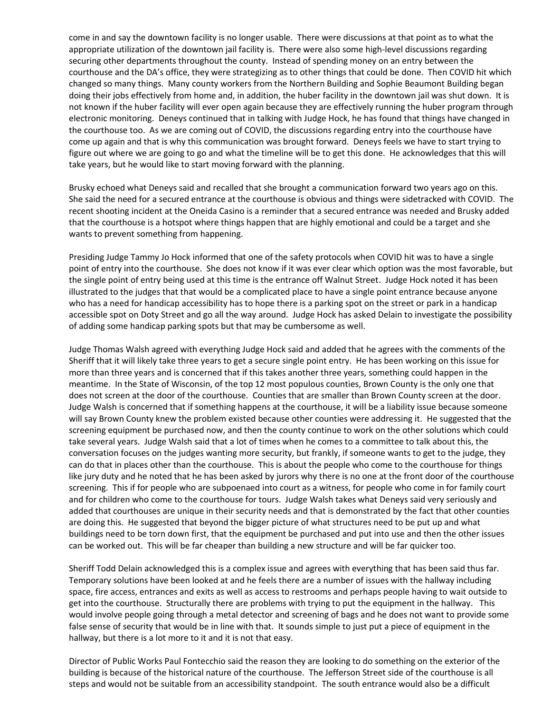come in and say the downtown facility is no longer usable. There were discussions at that point as to what the appropriate utilization of the downtown jail facility is. There were also some high-level discussions regarding securing other departments throughout the county. Instead of spending money on an entry between the courthouse and the DA's office, they were strategizing as to other things that could be done. Then COVID hit which changed so many things. Many county workers from the Northern Building and Sophie Beaumont Building began doing their jobs effectively from home and, in addition, the huber facility in the downtown jail was shut down. It is not known if the huber facility will ever open again because they are effectively running the huber program through electronic monitoring. Deneys continued that in talking with Judge Hock, he has found that things have changed in the courthouse too. As we are coming out of COVID, the discussions regarding entry into the courthouse have come up again and that is why this communication was brought forward. Deneys feels we have to start trying to figure out where we are going to go and what the timeline will be to get this done. He acknowledges that this will take years, but he would like to start moving forward with the planning.

Brusky echoed what Deneys said and recalled that she brought a communication forward two years ago on this. She said the need for a secured entrance at the courthouse is obvious and things were sidetracked with COVID. The recent shooting incident at the Oneida Casino is a reminder that a secured entrance was needed and Brusky added that the courthouse is a hotspot where things happen that are highly emotional and could be a target and she wants to prevent something from happening.

Presiding Judge Tammy Jo Hock informed that one of the safety protocols when COVID hit was to have a single point of entry into the courthouse. She does not know if it was ever clear which option was the most favorable, but the single point of entry being used at this time is the entrance off Walnut Street. Judge Hock noted it has been illustrated to the judges that that would be a complicated place to have a single point entrance because anyone who has a need for handicap accessibility has to hope there is a parking spot on the street or park in a handicap accessible spot on Doty Street and go all the way around. Judge Hock has asked Delain to investigate the possibility of adding some handicap parking spots but that may be cumbersome as well.

Judge Thomas Walsh agreed with everything Judge Hock said and added that he agrees with the comments of the Sheriff that it will likely take three years to get a secure single point entry. He has been working on this issue for more than three years and is concerned that if this takes another three years, something could happen in the meantime. In the State of Wisconsin, of the top 12 most populous counties, Brown County is the only one that does not screen at the door of the courthouse. Counties that are smaller than Brown County screen at the door. Judge Walsh is concerned that if something happens at the courthouse, it will be a liability issue because someone will say Brown County knew the problem existed because other counties were addressing it. He suggested that the screening equipment be purchased now, and then the county continue to work on the other solutions which could take several years. Judge Walsh said that a lot of times when he comes to a committee to talk about this, the conversation focuses on the judges wanting more security, but frankly, if someone wants to get to the judge, they can do that in places other than the courthouse. This is about the people who come to the courthouse for things like jury duty and he noted that he has been asked by jurors why there is no one at the front door of the courthouse screening. This if for people who are subpoenaed into court as a witness, for people who come in for family court and for children who come to the courthouse for tours. Judge Walsh takes what Deneys said very seriously and added that courthouses are unique in their security needs and that is demonstrated by the fact that other counties are doing this. He suggested that beyond the bigger picture of what structures need to be put up and what buildings need to be torn down first, that the equipment be purchased and put into use and then the other issues can be worked out. This will be far cheaper than building a new structure and will be far quicker too.

Sheriff Todd Delain acknowledged this is a complex issue and agrees with everything that has been said thus far. Temporary solutions have been looked at and he feels there are a number of issues with the hallway including space, fire access, entrances and exits as well as access to restrooms and perhaps people having to wait outside to get into the courthouse. Structurally there are problems with trying to put the equipment in the hallway. This would involve people going through a metal detector and screening of bags and he does not want to provide some false sense of security that would be in line with that. It sounds simple to just put a piece of equipment in the hallway, but there is a lot more to it and it is not that easy.

Director of Public Works Paul Fontecchio said the reason they are looking to do something on the exterior of the building is because of the historical nature of the courthouse. The Jefferson Street side of the courthouse is all steps and would not be suitable from an accessibility standpoint. The south entrance would also be a difficult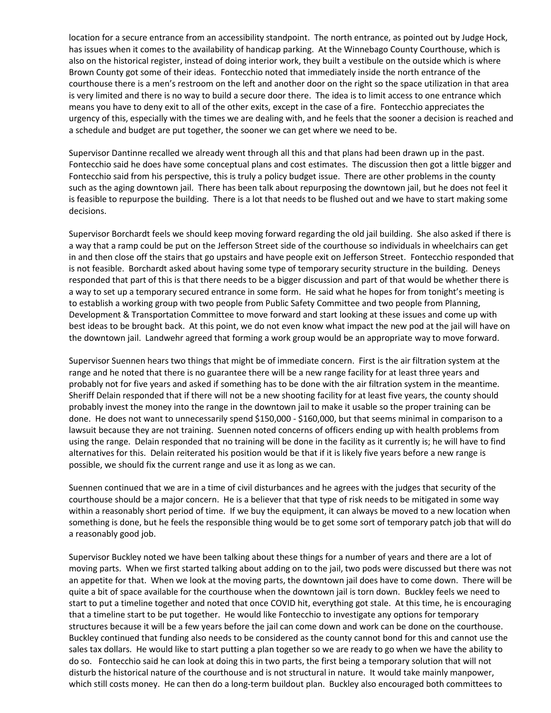location for a secure entrance from an accessibility standpoint. The north entrance, as pointed out by Judge Hock, has issues when it comes to the availability of handicap parking. At the Winnebago County Courthouse, which is also on the historical register, instead of doing interior work, they built a vestibule on the outside which is where Brown County got some of their ideas. Fontecchio noted that immediately inside the north entrance of the courthouse there is a men's restroom on the left and another door on the right so the space utilization in that area is very limited and there is no way to build a secure door there. The idea is to limit access to one entrance which means you have to deny exit to all of the other exits, except in the case of a fire. Fontecchio appreciates the urgency of this, especially with the times we are dealing with, and he feels that the sooner a decision is reached and a schedule and budget are put together, the sooner we can get where we need to be.

Supervisor Dantinne recalled we already went through all this and that plans had been drawn up in the past. Fontecchio said he does have some conceptual plans and cost estimates. The discussion then got a little bigger and Fontecchio said from his perspective, this is truly a policy budget issue. There are other problems in the county such as the aging downtown jail. There has been talk about repurposing the downtown jail, but he does not feel it is feasible to repurpose the building. There is a lot that needs to be flushed out and we have to start making some decisions.

Supervisor Borchardt feels we should keep moving forward regarding the old jail building. She also asked if there is a way that a ramp could be put on the Jefferson Street side of the courthouse so individuals in wheelchairs can get in and then close off the stairs that go upstairs and have people exit on Jefferson Street. Fontecchio responded that is not feasible. Borchardt asked about having some type of temporary security structure in the building. Deneys responded that part of this is that there needs to be a bigger discussion and part of that would be whether there is a way to set up a temporary secured entrance in some form. He said what he hopes for from tonight's meeting is to establish a working group with two people from Public Safety Committee and two people from Planning, Development & Transportation Committee to move forward and start looking at these issues and come up with best ideas to be brought back. At this point, we do not even know what impact the new pod at the jail will have on the downtown jail. Landwehr agreed that forming a work group would be an appropriate way to move forward.

Supervisor Suennen hears two things that might be of immediate concern. First is the air filtration system at the range and he noted that there is no guarantee there will be a new range facility for at least three years and probably not for five years and asked if something has to be done with the air filtration system in the meantime. Sheriff Delain responded that if there will not be a new shooting facility for at least five years, the county should probably invest the money into the range in the downtown jail to make it usable so the proper training can be done. He does not want to unnecessarily spend \$150,000 - \$160,000, but that seems minimal in comparison to a lawsuit because they are not training. Suennen noted concerns of officers ending up with health problems from using the range. Delain responded that no training will be done in the facility as it currently is; he will have to find alternatives for this. Delain reiterated his position would be that if it is likely five years before a new range is possible, we should fix the current range and use it as long as we can.

Suennen continued that we are in a time of civil disturbances and he agrees with the judges that security of the courthouse should be a major concern. He is a believer that that type of risk needs to be mitigated in some way within a reasonably short period of time. If we buy the equipment, it can always be moved to a new location when something is done, but he feels the responsible thing would be to get some sort of temporary patch job that will do a reasonably good job.

Supervisor Buckley noted we have been talking about these things for a number of years and there are a lot of moving parts. When we first started talking about adding on to the jail, two pods were discussed but there was not an appetite for that. When we look at the moving parts, the downtown jail does have to come down. There will be quite a bit of space available for the courthouse when the downtown jail is torn down. Buckley feels we need to start to put a timeline together and noted that once COVID hit, everything got stale. At this time, he is encouraging that a timeline start to be put together. He would like Fontecchio to investigate any options for temporary structures because it will be a few years before the jail can come down and work can be done on the courthouse. Buckley continued that funding also needs to be considered as the county cannot bond for this and cannot use the sales tax dollars. He would like to start putting a plan together so we are ready to go when we have the ability to do so. Fontecchio said he can look at doing this in two parts, the first being a temporary solution that will not disturb the historical nature of the courthouse and is not structural in nature. It would take mainly manpower, which still costs money. He can then do a long-term buildout plan. Buckley also encouraged both committees to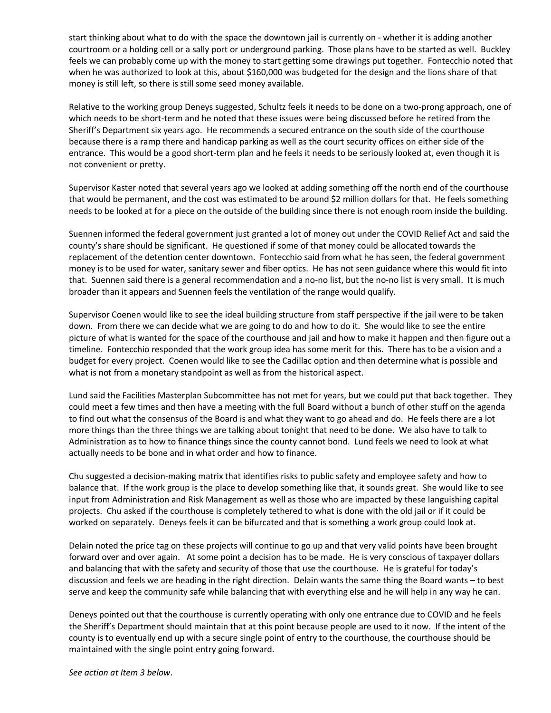start thinking about what to do with the space the downtown jail is currently on - whether it is adding another courtroom or a holding cell or a sally port or underground parking. Those plans have to be started as well. Buckley feels we can probably come up with the money to start getting some drawings put together. Fontecchio noted that when he was authorized to look at this, about \$160,000 was budgeted for the design and the lions share of that money is still left, so there is still some seed money available.

Relative to the working group Deneys suggested, Schultz feels it needs to be done on a two-prong approach, one of which needs to be short-term and he noted that these issues were being discussed before he retired from the Sheriff's Department six years ago. He recommends a secured entrance on the south side of the courthouse because there is a ramp there and handicap parking as well as the court security offices on either side of the entrance. This would be a good short-term plan and he feels it needs to be seriously looked at, even though it is not convenient or pretty.

Supervisor Kaster noted that several years ago we looked at adding something off the north end of the courthouse that would be permanent, and the cost was estimated to be around \$2 million dollars for that. He feels something needs to be looked at for a piece on the outside of the building since there is not enough room inside the building.

Suennen informed the federal government just granted a lot of money out under the COVID Relief Act and said the county's share should be significant. He questioned if some of that money could be allocated towards the replacement of the detention center downtown. Fontecchio said from what he has seen, the federal government money is to be used for water, sanitary sewer and fiber optics. He has not seen guidance where this would fit into that. Suennen said there is a general recommendation and a no-no list, but the no-no list is very small. It is much broader than it appears and Suennen feels the ventilation of the range would qualify.

Supervisor Coenen would like to see the ideal building structure from staff perspective if the jail were to be taken down. From there we can decide what we are going to do and how to do it. She would like to see the entire picture of what is wanted for the space of the courthouse and jail and how to make it happen and then figure out a timeline. Fontecchio responded that the work group idea has some merit for this. There has to be a vision and a budget for every project. Coenen would like to see the Cadillac option and then determine what is possible and what is not from a monetary standpoint as well as from the historical aspect.

Lund said the Facilities Masterplan Subcommittee has not met for years, but we could put that back together. They could meet a few times and then have a meeting with the full Board without a bunch of other stuff on the agenda to find out what the consensus of the Board is and what they want to go ahead and do. He feels there are a lot more things than the three things we are talking about tonight that need to be done. We also have to talk to Administration as to how to finance things since the county cannot bond. Lund feels we need to look at what actually needs to be bone and in what order and how to finance.

Chu suggested a decision-making matrix that identifies risks to public safety and employee safety and how to balance that. If the work group is the place to develop something like that, it sounds great. She would like to see input from Administration and Risk Management as well as those who are impacted by these languishing capital projects. Chu asked if the courthouse is completely tethered to what is done with the old jail or if it could be worked on separately. Deneys feels it can be bifurcated and that is something a work group could look at.

Delain noted the price tag on these projects will continue to go up and that very valid points have been brought forward over and over again. At some point a decision has to be made. He is very conscious of taxpayer dollars and balancing that with the safety and security of those that use the courthouse. He is grateful for today's discussion and feels we are heading in the right direction. Delain wants the same thing the Board wants – to best serve and keep the community safe while balancing that with everything else and he will help in any way he can.

Deneys pointed out that the courthouse is currently operating with only one entrance due to COVID and he feels the Sheriff's Department should maintain that at this point because people are used to it now. If the intent of the county is to eventually end up with a secure single point of entry to the courthouse, the courthouse should be maintained with the single point entry going forward.